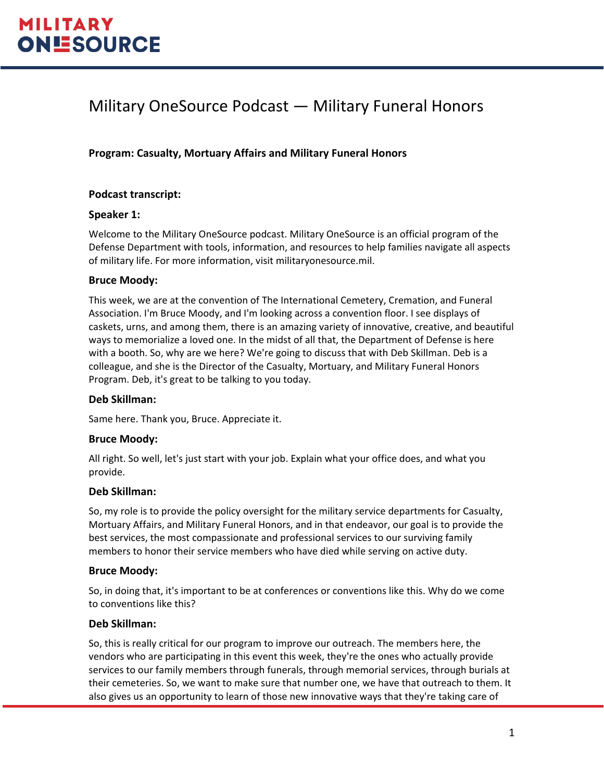# Military OneSource Podcast — Military Funeral Honors

# **Program: Casualty, Mortuary Affairs and Military Funeral Honors**

### **Podcast transcript:**

### **Speaker 1:**

Welcome to the Military OneSource podcast. Military OneSource is an official program of the Defense Department with tools, information, and resources to help families navigate all aspects of military life. For more information, visit militaryonesource.mil.

### **Bruce Moody:**

This week, we are at the convention of The International Cemetery, Cremation, and Funeral Association. I'm Bruce Moody, and I'm looking across a convention floor. I see displays of caskets, urns, and among them, there is an amazing variety of innovative, creative, and beautiful ways to memorialize a loved one. In the midst of all that, the Department of Defense is here with a booth. So, why are we here? We're going to discuss that with Deb Skillman. Deb is a colleague, and she is the Director of the Casualty, Mortuary, and Military Funeral Honors Program. Deb, it's great to be talking to you today.

#### **Deb Skillman:**

Same here. Thank you, Bruce. Appreciate it.

#### **Bruce Moody:**

All right. So well, let's just start with your job. Explain what your office does, and what you provide.

#### **Deb Skillman:**

So, my role is to provide the policy oversight for the military service departments for Casualty, Mortuary Affairs, and Military Funeral Honors, and in that endeavor, our goal is to provide the best services, the most compassionate and professional services to our surviving family members to honor their service members who have died while serving on active duty.

#### **Bruce Moody:**

So, in doing that, it's important to be at conferences or conventions like this. Why do we come to conventions like this?

#### **Deb Skillman:**

So, this is really critical for our program to improve our outreach. The members here, the vendors who are participating in this event this week, they're the ones who actually provide services to our family members through funerals, through memorial services, through burials at their cemeteries. So, we want to make sure that number one, we have that outreach to them. It also gives us an opportunity to learn of those new innovative ways that they're taking care of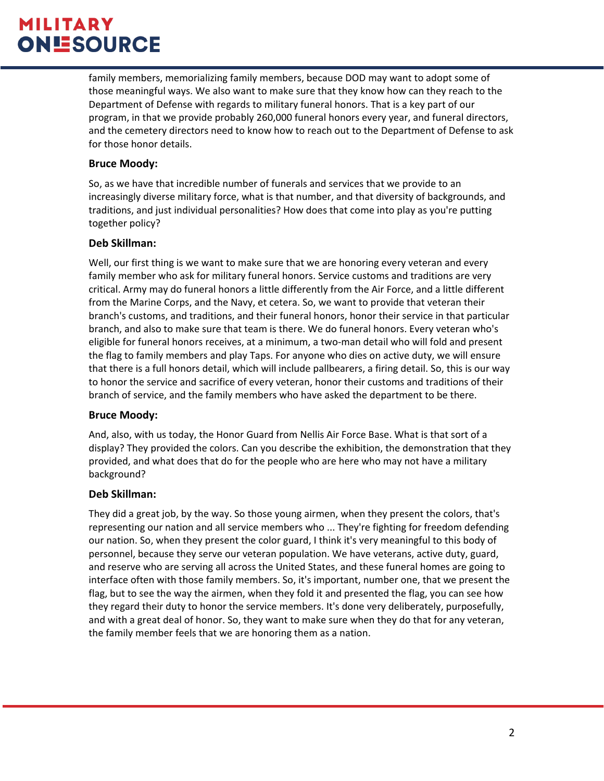# **MILITARY ONESOURCE**

family members, memorializing family members, because DOD may want to adopt some of those meaningful ways. We also want to make sure that they know how can they reach to the Department of Defense with regards to military funeral honors. That is a key part of our program, in that we provide probably 260,000 funeral honors every year, and funeral directors, and the cemetery directors need to know how to reach out to the Department of Defense to ask for those honor details.

## **Bruce Moody:**

So, as we have that incredible number of funerals and services that we provide to an increasingly diverse military force, what is that number, and that diversity of backgrounds, and traditions, and just individual personalities? How does that come into play as you're putting together policy?

### **Deb Skillman:**

Well, our first thing is we want to make sure that we are honoring every veteran and every family member who ask for military funeral honors. Service customs and traditions are very critical. Army may do funeral honors a little differently from the Air Force, and a little different from the Marine Corps, and the Navy, et cetera. So, we want to provide that veteran their branch's customs, and traditions, and their funeral honors, honor their service in that particular branch, and also to make sure that team is there. We do funeral honors. Every veteran who's eligible for funeral honors receives, at a minimum, a two-man detail who will fold and present the flag to family members and play Taps. For anyone who dies on active duty, we will ensure that there is a full honors detail, which will include pallbearers, a firing detail. So, this is our way to honor the service and sacrifice of every veteran, honor their customs and traditions of their branch of service, and the family members who have asked the department to be there.

# **Bruce Moody:**

And, also, with us today, the Honor Guard from Nellis Air Force Base. What is that sort of a display? They provided the colors. Can you describe the exhibition, the demonstration that they provided, and what does that do for the people who are here who may not have a military background?

# **Deb Skillman:**

They did a great job, by the way. So those young airmen, when they present the colors, that's representing our nation and all service members who ... They're fighting for freedom defending our nation. So, when they present the color guard, I think it's very meaningful to this body of personnel, because they serve our veteran population. We have veterans, active duty, guard, and reserve who are serving all across the United States, and these funeral homes are going to interface often with those family members. So, it's important, number one, that we present the flag, but to see the way the airmen, when they fold it and presented the flag, you can see how they regard their duty to honor the service members. It's done very deliberately, purposefully, and with a great deal of honor. So, they want to make sure when they do that for any veteran, the family member feels that we are honoring them as a nation.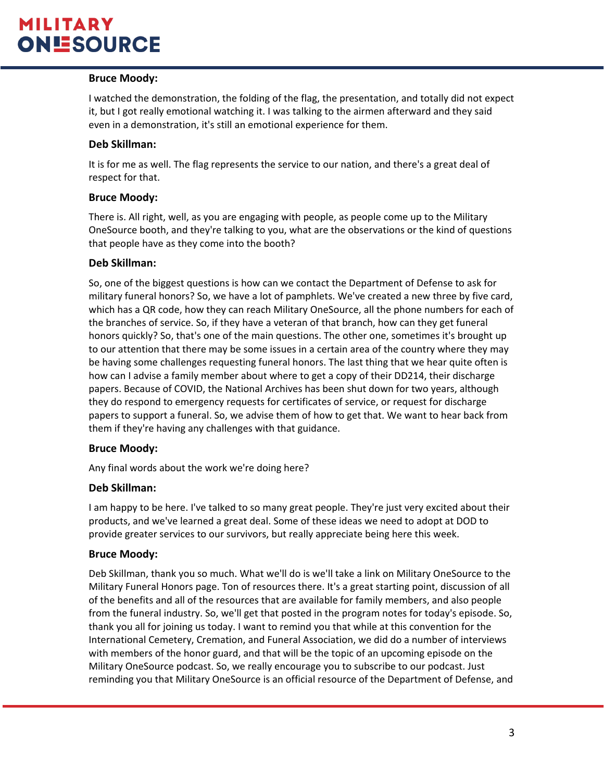# **MILITARY ONESOURCE**

# **Bruce Moody:**

I watched the demonstration, the folding of the flag, the presentation, and totally did not expect it, but I got really emotional watching it. I was talking to the airmen afterward and they said even in a demonstration, it's still an emotional experience for them.

### **Deb Skillman:**

It is for me as well. The flag represents the service to our nation, and there's a great deal of respect for that.

### **Bruce Moody:**

There is. All right, well, as you are engaging with people, as people come up to the Military OneSource booth, and they're talking to you, what are the observations or the kind of questions that people have as they come into the booth?

### **Deb Skillman:**

So, one of the biggest questions is how can we contact the Department of Defense to ask for military funeral honors? So, we have a lot of pamphlets. We've created a new three by five card, which has a QR code, how they can reach Military OneSource, all the phone numbers for each of the branches of service. So, if they have a veteran of that branch, how can they get funeral honors quickly? So, that's one of the main questions. The other one, sometimes it's brought up to our attention that there may be some issues in a certain area of the country where they may be having some challenges requesting funeral honors. The last thing that we hear quite often is how can I advise a family member about where to get a copy of their DD214, their discharge papers. Because of COVID, the National Archives has been shut down for two years, although they do respond to emergency requests for certificates of service, or request for discharge papers to support a funeral. So, we advise them of how to get that. We want to hear back from them if they're having any challenges with that guidance.

# **Bruce Moody:**

Any final words about the work we're doing here?

#### **Deb Skillman:**

I am happy to be here. I've talked to so many great people. They're just very excited about their products, and we've learned a great deal. Some of these ideas we need to adopt at DOD to provide greater services to our survivors, but really appreciate being here this week.

#### **Bruce Moody:**

Deb Skillman, thank you so much. What we'll do is we'll take a link on Military OneSource to the Military Funeral Honors page. Ton of resources there. It's a great starting point, discussion of all of the benefits and all of the resources that are available for family members, and also people from the funeral industry. So, we'll get that posted in the program notes for today's episode. So, thank you all for joining us today. I want to remind you that while at this convention for the International Cemetery, Cremation, and Funeral Association, we did do a number of interviews with members of the honor guard, and that will be the topic of an upcoming episode on the Military OneSource podcast. So, we really encourage you to subscribe to our podcast. Just reminding you that Military OneSource is an official resource of the Department of Defense, and